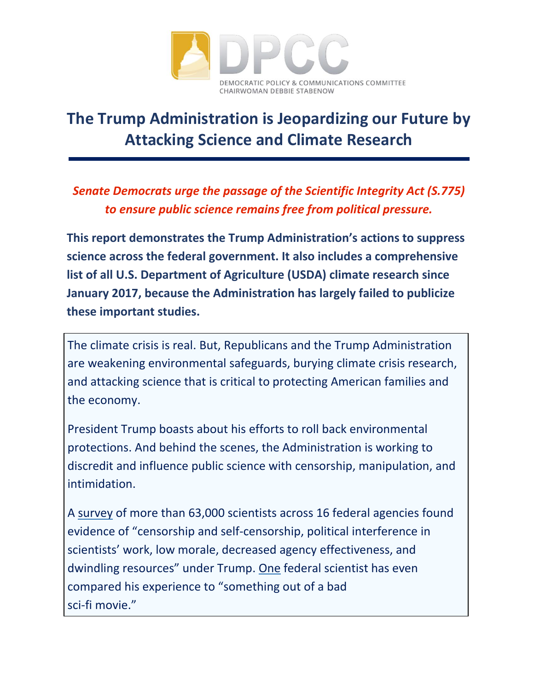

# **The Trump Administration is Jeopardizing our Future by Attacking Science and Climate Research**

*Senate Democrats urge the passage of the Scientific Integrity Act (S.775) to ensure public science remains free from political pressure.*

**This report demonstrates the Trump Administration's actions to suppress science across the federal government. It also includes a comprehensive list of all U.S. Department of Agriculture (USDA) climate research since January 2017, because the Administration has largely failed to publicize these important studies.**

The climate crisis is real. But, Republicans and the Trump Administration are weakening environmental safeguards, burying climate crisis research, and attacking science that is critical to protecting American families and the economy.

President Trump boasts about his efforts to roll back environmental protections. And behind the scenes, the Administration is working to discredit and influence public science with censorship, manipulation, and intimidation.

A [survey](https://www.ucsusa.org/center-science-and-democracy/promoting-scientific-integrity/scientist-survey-2018) of more than 63,000 scientists across 16 federal agencies found evidence of "censorship and self-censorship, political interference in scientists' work, low morale, decreased agency effectiveness, and dwindling resources" under Trump. [One](https://www.politico.com/story/2019/08/05/ziska-usda-climate-agriculture-trump-1445271) federal scientist has even compared his experience to "something out of a bad sci-fi movie."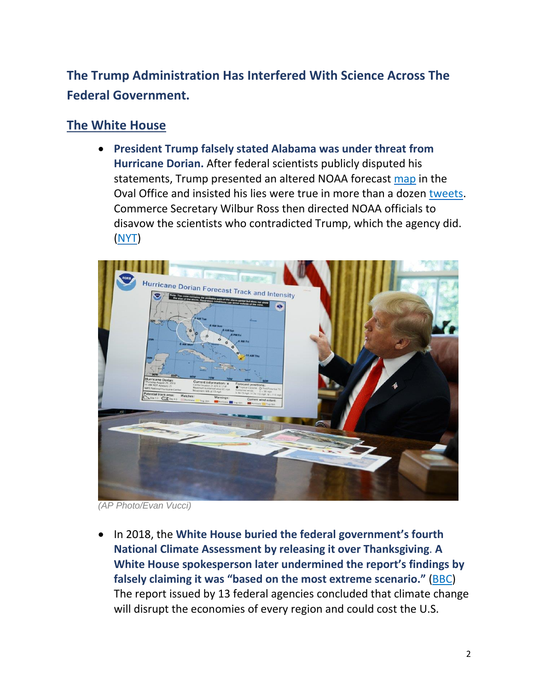# **The Trump Administration Has Interfered With Science Across The Federal Government.**

### **The White House**

 **President Trump falsely stated Alabama was under threat from Hurricane Dorian.** After federal scientists publicly disputed his statements, Trump presented an altered NOAA forecast [map](https://www.nytimes.com/2019/09/06/us/politics/trump-alabama-dorian.html?module=inline) in the Oval Office and insisted his lies were true in more than a dozen [tweets.](http://www.trumptwitterarchive.com/archive) Commerce Secretary Wilbur Ross then directed NOAA officials to disavow the scientists who contradicted Trump, which the agency did. [\(NYT\)](https://www.nytimes.com/2019/09/09/climate/hurricane-dorian-trump-tweet.html?module=inline)



*(AP Photo/Evan Vucci)*

 In 2018, the **White House buried the federal government's fourth National Climate Assessment by releasing it over Thanksgiving**. **A White House spokesperson later undermined the report's findings by falsely claiming it was "based on the most extreme scenario."** [\(BBC\)](https://www.bbc.com/news/world-us-canada-46325168) The report issued by 13 federal agencies concluded that climate change will disrupt the economies of every region and could cost the U.S.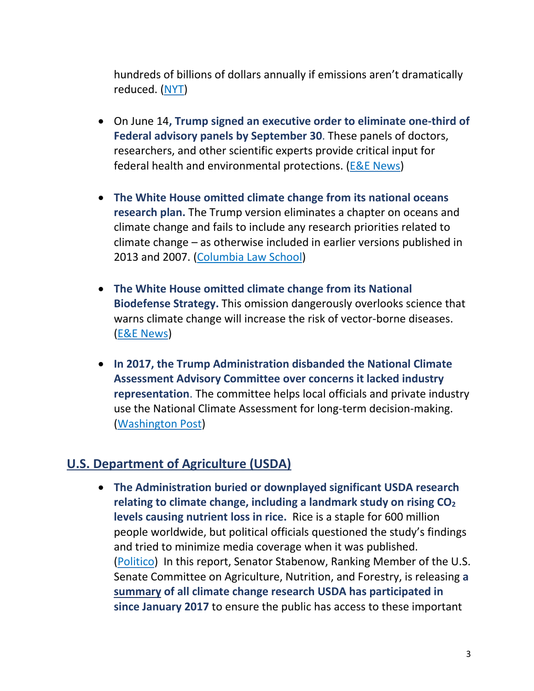hundreds of billions of dollars annually if emissions aren't dramatically reduced. [\(NYT\)](https://www.nytimes.com/2018/11/25/climate/trump-climate-report.html?action=click&module=Top%2520Stories&pgtype=Homepage)

- On June 14**, Trump signed an executive order to eliminate one-third of Federal advisory panels by September 30**. These panels of doctors, researchers, and other scientific experts provide critical input for federal health and environmental protections. (E&E [News\)](https://www.eenews.net/stories/1060612379)
- **The White House omitted climate change from its national oceans research plan.** The Trump version eliminates a chapter on oceans and climate change and fails to include any research priorities related to climate change – as otherwise included in earlier versions published in 2013 and 2007. [\(Columbia](http://columbiaclimatelaw.com/silencing-science-tracker/climate-change-omitted-from-oceans-research-plan/) Law School)
- **The White House omitted climate change from its National Biodefense Strategy.** This omission dangerously overlooks science that warns climate change will increase the risk of vector-borne diseases. (E&E [News\)](https://www.eenews.net/climatewire/2018/09/19/stories/1060098279)
- **In 2017, the Trump Administration disbanded the National Climate Assessment Advisory Committee over concerns it lacked industry representation**. The committee helps local officials and private industry use the National Climate Assessment for long-term decision-making. [\(Washington](https://www.washingtonpost.com/national/health-science/trump-officials-faulted-climate-panel-for-having-only-one-member-from-industry/2018/05/15/c2a458de-5874-11e8-b656-a5f8c2a9295d_story.html?noredirect=on) Post)

#### **U.S. Department of Agriculture (USDA)**

 **The Administration buried or downplayed significant USDA research relating to climate change, including a landmark study on rising CO<sup>2</sup> levels causing nutrient loss in rice.** Rice is a staple for 600 million people worldwide, but political officials questioned the study's findings and tried to minimize media coverage when it was published. [\(Politico\)](https://www.politico.com/story/2019/08/05/ziska-usda-climate-agriculture-trump-1445271) In this report, Senator Stabenow, Ranking Member of the U.S. Senate Committee on Agriculture, Nutrition, and Forestry, is releasing **a [summary](https://www.agriculture.senate.gov/usda-climate-research) of all climate change research USDA has participated in since January 2017** to ensure the public has access to these important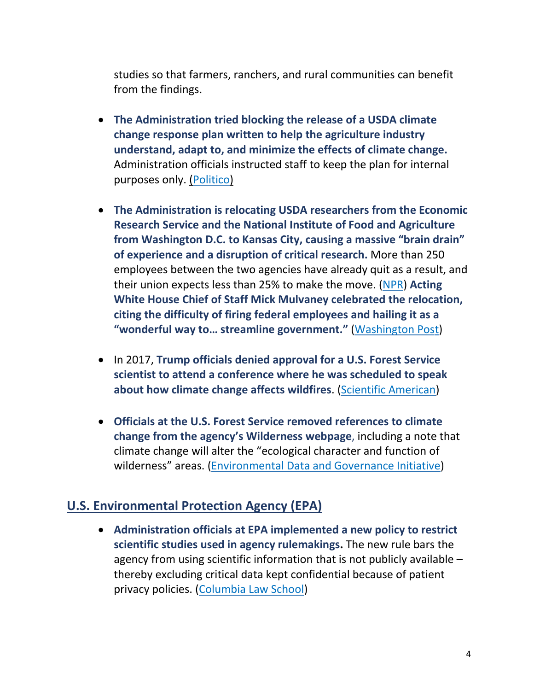studies so that farmers, ranchers, and rural communities can benefit from the findings.

- **The Administration tried blocking the release of a USDA climate change response plan written to help the agriculture industry understand, adapt to, and minimize the effects of climate change.** Administration officials instructed staff to keep the plan for internal purposes only. [\(Politico\)](https://www.politico.com/story/2019/07/18/usda-suppresses-climate-change-plan-1598987)
- **The Administration is relocating USDA researchers from the Economic Research Service and the National Institute of Food and Agriculture from Washington D.C. to Kansas City, causing a massive "brain drain" of experience and a disruption of critical research.** More than 250 employees between the two agencies have already quit as a result, and their union expects less than 25% to make the move. [\(NPR\)](https://www.npr.org/2019/09/10/759053717/critics-of-relocating-usda-research-agencies-point-to-brain-drain) **Acting White House Chief of Staff Mick Mulvaney celebrated the relocation, citing the difficulty of firing federal employees and hailing it as a "wonderful way to… streamline government."** [\(Washington](https://www.washingtonpost.com/science/2019/08/05/usda-science-agencies-relocation-may-have-violated-law-inspector-general-report-says/) Post)
- In 2017, **Trump officials denied approval for a U.S. Forest Service scientist to attend a conference where he was scheduled to speak about how climate change affects wildfires**. (Scientific [American\)](https://www.scientificamerican.com/article/government-scientist-blocked-from-talking-about-climate-and-wildfires/)
- **Officials at the U.S. Forest Service removed references to climate change from the agency's Wilderness webpage**, including a note that climate change will alter the "ecological character and function of wilderness" areas. [\(Environmental](https://envirodatagov.org/wp-content/uploads/2019/07/New-Digital-Landscape-EDGI.pdf) Data and Governance Initiative)

#### **U.S. Environmental Protection Agency (EPA)**

 **Administration officials at EPA implemented a new policy to restrict scientific studies used in agency rulemakings.** The new rule bars the agency from using scientific information that is not publicly available – thereby excluding critical data kept confidential because of patient privacy policies. [\(Columbia](http://columbiaclimatelaw.com/silencing-science-tracker/epas-use-of-scientific-studies-restricted/) Law School)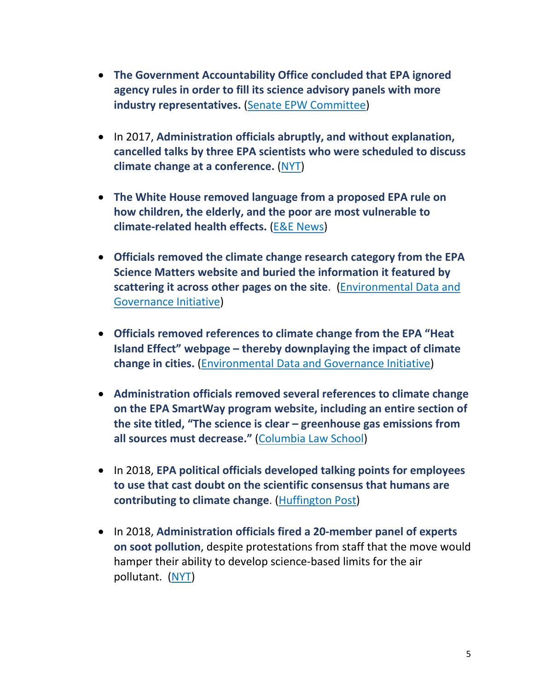- **The Government Accountability Office concluded that EPA ignored agency rules in order to fill its science advisory panels with more industry representatives.** (Senate EPW [Committee\)](https://www.epw.senate.gov/public/index.cfm/press-releases-democratic?ID=6755F0A5-CF56-4E50-9E65-C944EEA0B6CF)
- In 2017, **Administration officials abruptly, and without explanation, cancelled talks by three EPA scientists who were scheduled to discuss climate change at a conference.** [\(NYT\)](https://www.nytimes.com/2017/10/22/climate/epa-scientists.html?mtrref=www.google.com)
- **The White House removed language from a proposed EPA rule on how children, the elderly, and the poor are most vulnerable to climate-related health effects.** (E&E [News\)](https://www.eenews.net/eenewspm/2018/10/02/stories/1060100339)
- **Officials removed the climate change research category from the EPA Science Matters website and buried the information it featured by scattering it across other pages on the site**. [\(Environmental](https://envirodatagov.org/wp-content/uploads/2019/07/New-Digital-Landscape-EDGI.pdf) Data and [Governance](https://envirodatagov.org/wp-content/uploads/2019/07/New-Digital-Landscape-EDGI.pdf) Initiative)
- **Officials removed references to climate change from the EPA "Heat Island Effect" webpage – thereby downplaying the impact of climate change in cities.** [\(Environmental](https://envirodatagov.org/wp-content/uploads/2019/07/New-Digital-Landscape-EDGI.pdf) Data and Governance Initiative)
- **Administration officials removed several references to climate change on the EPA SmartWay program website, including an entire section of the site titled, "The science is clear – greenhouse gas emissions from all sources must decrease."** [\(Columbia](http://columbiaclimatelaw.com/silencing-science-tracker/climate-science-page-removed-from-epa-website/) Law School)
- In 2018, **EPA political officials developed talking points for employees to use that cast doubt on the scientific consensus that humans are contributing to climate change**. [\(Huffington](https://www.huffpost.com/entry/epa-climate-adaptation_n_5abbb5e3e4b04a59a31387d7) Post)
- In 2018, **Administration officials fired a 20-member panel of experts on soot pollution**, despite protestations from staff that the move would hamper their ability to develop science-based limits for the air pollutant. [\(NYT\)](https://www.nytimes.com/2018/10/11/climate/epa-disbands-pollution-science-panel.html)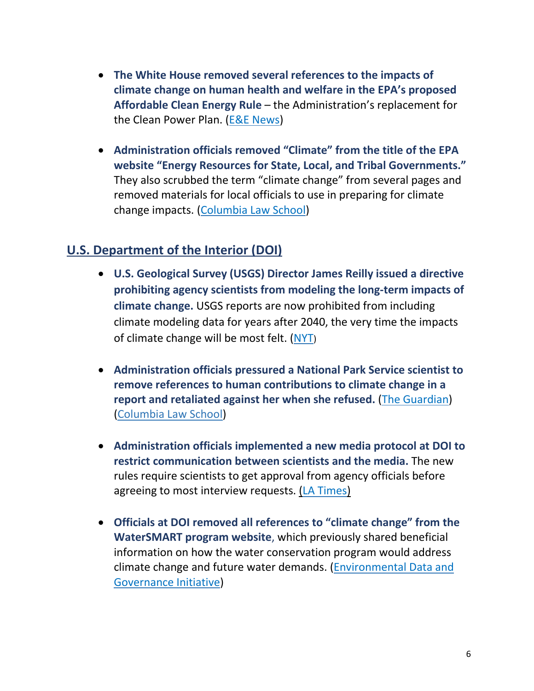- **The White House removed several references to the impacts of climate change on human health and welfare in the EPA's proposed Affordable Clean Energy Rule** – the Administration's replacement for the Clean Power Plan. (E&E [News\)](https://www.eenews.net/climatewire/2018/09/05/stories/1060095807)
- **Administration officials removed "Climate" from the title of the EPA website "Energy Resources for State, Local, and Tribal Governments."** They also scrubbed the term "climate change" from several pages and removed materials for local officials to use in preparing for climate change impacts. [\(Columbia](http://columbiaclimatelaw.com/silencing-science-tracker/epa-removed-links-to-climate-change-resources-for-local-governments-from-website/) Law School)

#### **U.S. Department of the Interior (DOI)**

- **U.S. Geological Survey (USGS) Director James Reilly issued a directive prohibiting agency scientists from modeling the long-term impacts of climate change.** USGS reports are now prohibited from including climate modeling data for years after 2040, the very time the impacts of climate change will be most felt. [\(NYT](https://www.nytimes.com/2019/05/27/us/politics/trump-climate-science.html))
- **Administration officials pressured a National Park Service scientist to remove references to human contributions to climate change in a report and retaliated against her when she refused.** (The [Guardian\)](https://www.theguardian.com/commentisfree/2019/jul/25/trump-administration-climate-crisis-denying-scientist) [\(Columbia](http://columbiaclimatelaw.com/silencing-science-tracker/references-to-humans-role-in-causing-climate-change-removed-from-nps-report/) Law School)
- **Administration officials implemented a new media protocol at DOI to restrict communication between scientists and the media.** The new rules require scientists to get approval from agency officials before agreeing to most interview requests. (LA [Times\)](https://www.latimes.com/local/lanow/la-me-ln-trump-policy-usgs-scientists-20180621-story.html)
- **Officials at DOI removed all references to "climate change" from the WaterSMART program website**, which previously shared beneficial information on how the water conservation program would address climate change and future water demands. [\(Environmental](https://envirodatagov.org/wp-content/uploads/2019/07/New-Digital-Landscape-EDGI.pdf) Data and [Governance](https://envirodatagov.org/wp-content/uploads/2019/07/New-Digital-Landscape-EDGI.pdf) Initiative)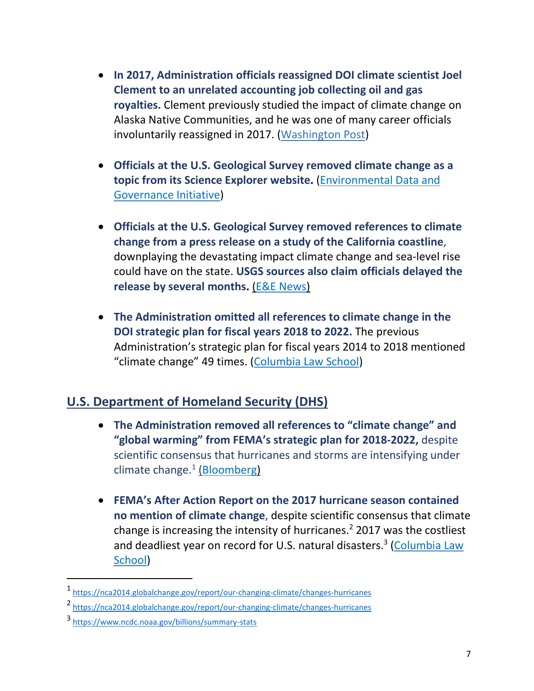- **In 2017, Administration officials reassigned DOI climate scientist Joel Clement to an unrelated accounting job collecting oil and gas royalties.** Clement previously studied the impact of climate change on Alaska Native Communities, and he was one of many career officials involuntarily reassigned in 2017. [\(Washington](https://www.washingtonpost.com/opinions/im-a-scientist-the-trump-administration-reassigned-me-for-speaking-up-about-climate-change/2017/07/19/389b8dce-6b12-11e7-9c15-177740635e83_story.html) Post)
- **Officials at the U.S. Geological Survey removed climate change as a topic from its Science Explorer website.** [\(Environmental](https://envirodatagov.org/wp-content/uploads/2019/07/New-Digital-Landscape-EDGI.pdf) Data and [Governance](https://envirodatagov.org/wp-content/uploads/2019/07/New-Digital-Landscape-EDGI.pdf) Initiative)
- **Officials at the U.S. Geological Survey removed references to climate change from a press release on a study of the California coastline**, downplaying the devastating impact climate change and sea-level rise could have on the state. **USGS sources also claim officials delayed the release by several months.** (E&E [News\)](https://www.eenews.net/climatewire/2019/07/08/stories/1060709857)
- **The Administration omitted all references to climate change in the DOI strategic plan for fiscal years 2018 to 2022.** The previous Administration's strategic plan for fiscal years 2014 to 2018 mentioned "climate change" 49 times. [\(Columbia](http://columbiaclimatelaw.com/silencing-science-tracker/references-to-climate-change-removed-from-doi-strategic-plan/) Law School)

## **U.S. Department of Homeland Security (DHS)**

- **The Administration removed all references to "climate change" and "global warming" from FEMA's strategic plan for 2018-2022,** despite scientific consensus that hurricanes and storms are intensifying under climate change.<sup>1</sup> [\(Bloomberg\)](https://www.bloomberg.com/news/articles/2018-03-15/fema-strips-mention-of-climate-change-from-its-strategic-plan)
- **FEMA's After Action Report on the 2017 hurricane season contained no mention of climate change**, despite scientific consensus that climate change is increasing the intensity of hurricanes.<sup>2</sup> 2017 was the costliest and deadliest year on record for U.S. natural disasters.<sup>3</sup> [\(Columbia](http://columbiaclimatelaw.com/silencing-science-tracker/impacts-of-climate-change-downplayed-by-fema/) Law School)

 $\overline{a}$ 

<sup>1</sup> <https://nca2014.globalchange.gov/report/our-changing-climate/changes-hurricanes>

<sup>2</sup> <https://nca2014.globalchange.gov/report/our-changing-climate/changes-hurricanes>

<sup>3</sup> <https://www.ncdc.noaa.gov/billions/summary-stats>